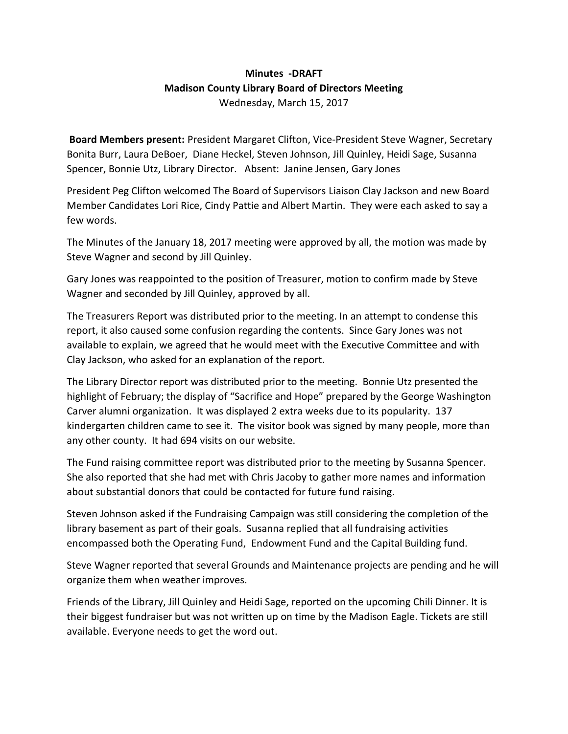## **Minutes -DRAFT Madison County Library Board of Directors Meeting** Wednesday, March 15, 2017

**Board Members present:** President Margaret Clifton, Vice-President Steve Wagner, Secretary Bonita Burr, Laura DeBoer, Diane Heckel, Steven Johnson, Jill Quinley, Heidi Sage, Susanna Spencer, Bonnie Utz, Library Director. Absent: Janine Jensen, Gary Jones

President Peg Clifton welcomed The Board of Supervisors Liaison Clay Jackson and new Board Member Candidates Lori Rice, Cindy Pattie and Albert Martin. They were each asked to say a few words.

The Minutes of the January 18, 2017 meeting were approved by all, the motion was made by Steve Wagner and second by Jill Quinley.

Gary Jones was reappointed to the position of Treasurer, motion to confirm made by Steve Wagner and seconded by Jill Quinley, approved by all.

The Treasurers Report was distributed prior to the meeting. In an attempt to condense this report, it also caused some confusion regarding the contents. Since Gary Jones was not available to explain, we agreed that he would meet with the Executive Committee and with Clay Jackson, who asked for an explanation of the report.

The Library Director report was distributed prior to the meeting. Bonnie Utz presented the highlight of February; the display of "Sacrifice and Hope" prepared by the George Washington Carver alumni organization. It was displayed 2 extra weeks due to its popularity. 137 kindergarten children came to see it. The visitor book was signed by many people, more than any other county. It had 694 visits on our website.

The Fund raising committee report was distributed prior to the meeting by Susanna Spencer. She also reported that she had met with Chris Jacoby to gather more names and information about substantial donors that could be contacted for future fund raising.

Steven Johnson asked if the Fundraising Campaign was still considering the completion of the library basement as part of their goals. Susanna replied that all fundraising activities encompassed both the Operating Fund, Endowment Fund and the Capital Building fund.

Steve Wagner reported that several Grounds and Maintenance projects are pending and he will organize them when weather improves.

Friends of the Library, Jill Quinley and Heidi Sage, reported on the upcoming Chili Dinner. It is their biggest fundraiser but was not written up on time by the Madison Eagle. Tickets are still available. Everyone needs to get the word out.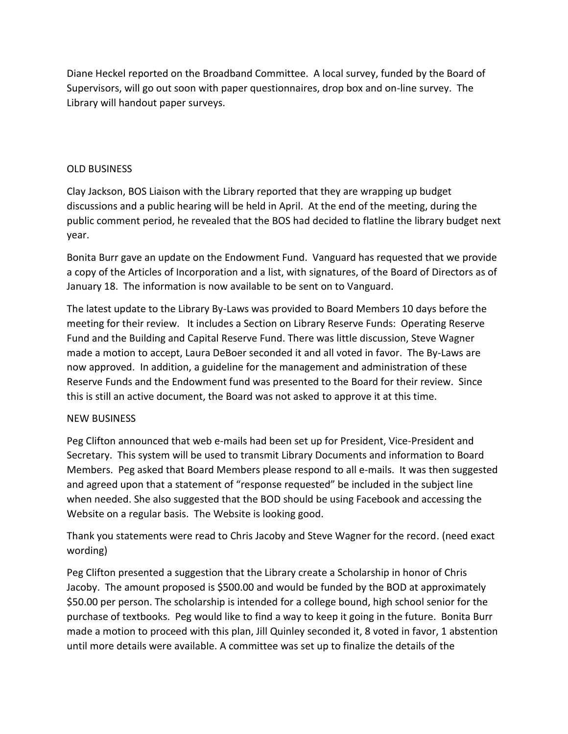Diane Heckel reported on the Broadband Committee. A local survey, funded by the Board of Supervisors, will go out soon with paper questionnaires, drop box and on-line survey. The Library will handout paper surveys.

## OLD BUSINESS

Clay Jackson, BOS Liaison with the Library reported that they are wrapping up budget discussions and a public hearing will be held in April. At the end of the meeting, during the public comment period, he revealed that the BOS had decided to flatline the library budget next year.

Bonita Burr gave an update on the Endowment Fund. Vanguard has requested that we provide a copy of the Articles of Incorporation and a list, with signatures, of the Board of Directors as of January 18. The information is now available to be sent on to Vanguard.

The latest update to the Library By-Laws was provided to Board Members 10 days before the meeting for their review. It includes a Section on Library Reserve Funds: Operating Reserve Fund and the Building and Capital Reserve Fund. There was little discussion, Steve Wagner made a motion to accept, Laura DeBoer seconded it and all voted in favor. The By-Laws are now approved. In addition, a guideline for the management and administration of these Reserve Funds and the Endowment fund was presented to the Board for their review. Since this is still an active document, the Board was not asked to approve it at this time.

## NEW BUSINESS

Peg Clifton announced that web e-mails had been set up for President, Vice-President and Secretary. This system will be used to transmit Library Documents and information to Board Members. Peg asked that Board Members please respond to all e-mails. It was then suggested and agreed upon that a statement of "response requested" be included in the subject line when needed. She also suggested that the BOD should be using Facebook and accessing the Website on a regular basis. The Website is looking good.

Thank you statements were read to Chris Jacoby and Steve Wagner for the record. (need exact wording)

Peg Clifton presented a suggestion that the Library create a Scholarship in honor of Chris Jacoby. The amount proposed is \$500.00 and would be funded by the BOD at approximately \$50.00 per person. The scholarship is intended for a college bound, high school senior for the purchase of textbooks. Peg would like to find a way to keep it going in the future. Bonita Burr made a motion to proceed with this plan, Jill Quinley seconded it, 8 voted in favor, 1 abstention until more details were available. A committee was set up to finalize the details of the